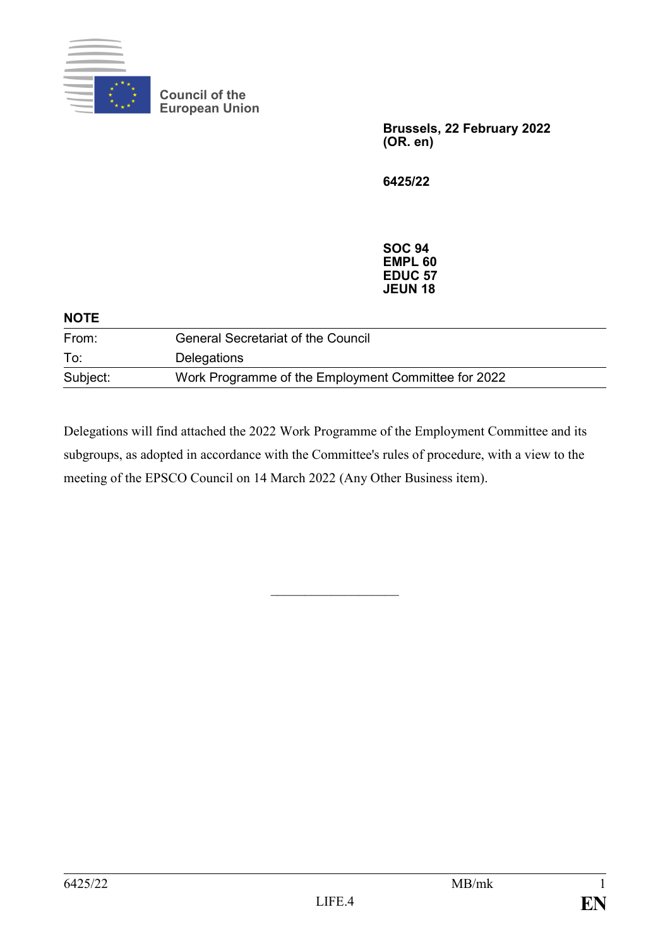

**Council of the European Union**

> **Brussels, 22 February 2022 (OR. en)**

**6425/22**

**SOC 94 EMPL 60 EDUC 57 JEUN 18**

| <b>NOTE</b> |                                                     |  |  |
|-------------|-----------------------------------------------------|--|--|
| From:       | <b>General Secretariat of the Council</b>           |  |  |
| To:         | Delegations                                         |  |  |
| Subject:    | Work Programme of the Employment Committee for 2022 |  |  |

Delegations will find attached the 2022 Work Programme of the Employment Committee and its subgroups, as adopted in accordance with the Committee's rules of procedure, with a view to the meeting of the EPSCO Council on 14 March 2022 (Any Other Business item).

 $\mathcal{L}_\text{max}$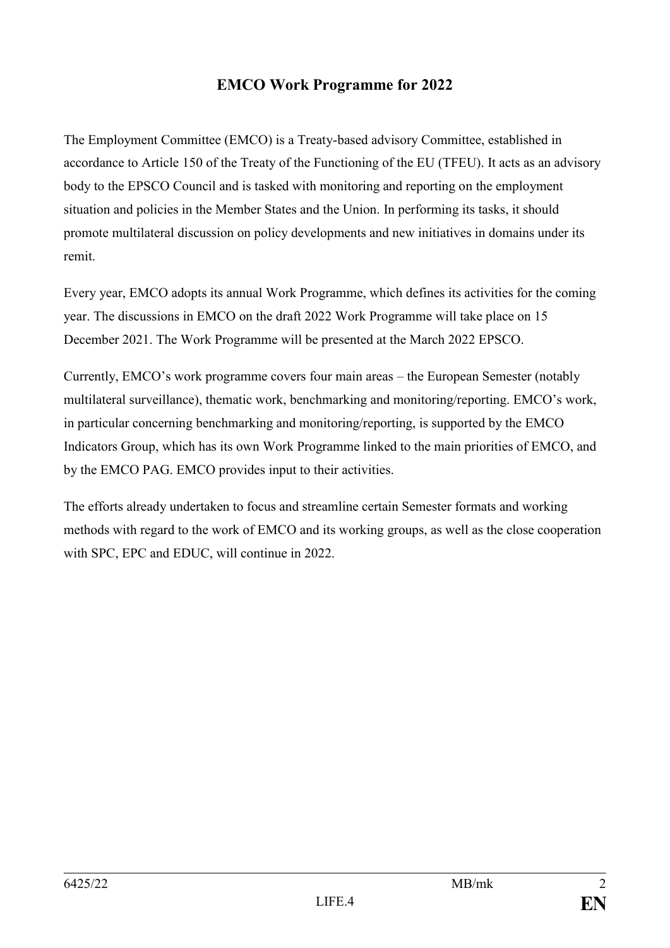# **EMCO Work Programme for 2022**

The Employment Committee (EMCO) is a Treaty-based advisory Committee, established in accordance to Article 150 of the Treaty of the Functioning of the EU (TFEU). It acts as an advisory body to the EPSCO Council and is tasked with monitoring and reporting on the employment situation and policies in the Member States and the Union. In performing its tasks, it should promote multilateral discussion on policy developments and new initiatives in domains under its remit.

Every year, EMCO adopts its annual Work Programme, which defines its activities for the coming year. The discussions in EMCO on the draft 2022 Work Programme will take place on 15 December 2021. The Work Programme will be presented at the March 2022 EPSCO.

Currently, EMCO's work programme covers four main areas – the European Semester (notably multilateral surveillance), thematic work, benchmarking and monitoring/reporting. EMCO's work, in particular concerning benchmarking and monitoring/reporting, is supported by the EMCO Indicators Group, which has its own Work Programme linked to the main priorities of EMCO, and by the EMCO PAG. EMCO provides input to their activities.

The efforts already undertaken to focus and streamline certain Semester formats and working methods with regard to the work of EMCO and its working groups, as well as the close cooperation with SPC, EPC and EDUC, will continue in 2022.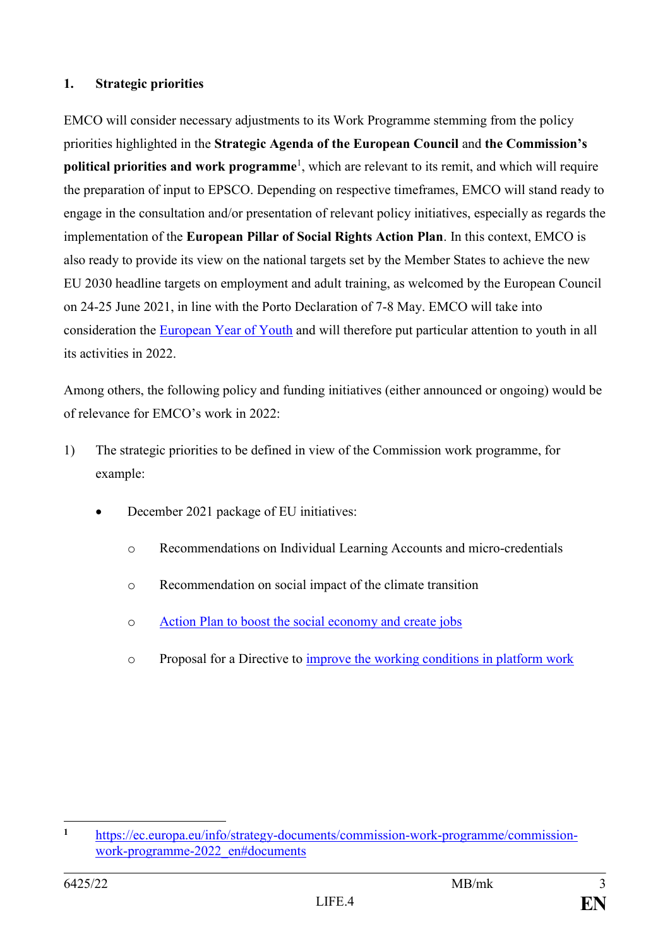# **1. Strategic priorities**

EMCO will consider necessary adjustments to its Work Programme stemming from the policy priorities highlighted in the **Strategic Agenda of the European Council** and **the Commission's political priorities and work programme**<sup>1</sup>, which are relevant to its remit, and which will require the preparation of input to EPSCO. Depending on respective timeframes, EMCO will stand ready to engage in the consultation and/or presentation of relevant policy initiatives, especially as regards the implementation of the **European Pillar of Social Rights Action Plan**. In this context, EMCO is also ready to provide its view on the national targets set by the Member States to achieve the new EU 2030 headline targets on employment and adult training, as welcomed by the European Council on 24-25 June 2021, in line with the Porto Declaration of 7-8 May. EMCO will take into consideration the [European Year of Youth](https://ec.europa.eu/commission/presscorner/detail/en/IP_21_5226) and will therefore put particular attention to youth in all its activities in 2022.

Among others, the following policy and funding initiatives (either announced or ongoing) would be of relevance for EMCO's work in 2022:

- 1) The strategic priorities to be defined in view of the Commission work programme, for example:
	- December 2021 package of EU initiatives:
		- o Recommendations on Individual Learning Accounts and micro-credentials
		- o Recommendation on social impact of the climate transition
		- o [Action Plan to boost the social economy and create jobs](https://urldefense.com/v3/__https:/ec.europa.eu/commission/presscorner/detail/en/ip_21_6568__;!!FiWPmuqhD5aF3oDTQnc!wfKxiEcjZa1iJm255yC4Jag7Wunb-4gyvMqLN8ONgUDOY-PWe4CxbIZEVPFJ6nqsq93CHBrOFg$)
		- o Proposal for a Directive to [improve the working conditions in platform work](https://urldefense.com/v3/__https:/ec.europa.eu/commission/presscorner/detail/en/ip_21_6605__;!!FiWPmuqhD5aF3oDTQnc!wfKxiEcjZa1iJm255yC4Jag7Wunb-4gyvMqLN8ONgUDOY-PWe4CxbIZEVPFJ6nqsq93JaFdbVA$)

 $\mathbf{1}$ **<sup>1</sup>** [https://ec.europa.eu/info/strategy-documents/commission-work-programme/commission](https://ec.europa.eu/info/strategy-documents/commission-work-programme/commission-work-programme-2022_en#documents)[work-programme-2022\\_en#documents](https://ec.europa.eu/info/strategy-documents/commission-work-programme/commission-work-programme-2022_en#documents)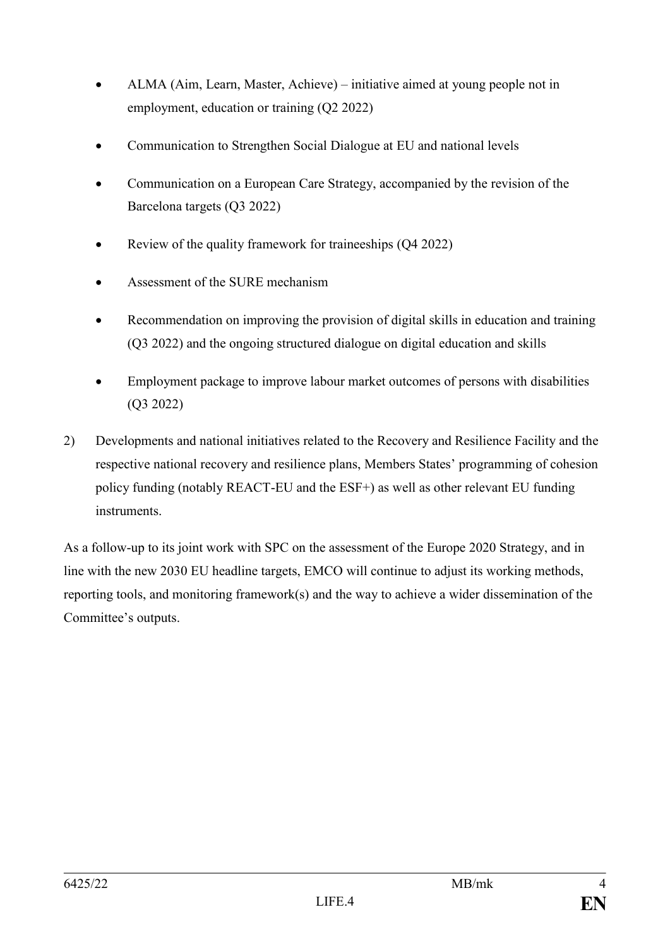- ALMA (Aim, Learn, Master, Achieve) initiative aimed at young people not in employment, education or training (Q2 2022)
- Communication to Strengthen Social Dialogue at EU and national levels
- Communication on a European Care Strategy, accompanied by the revision of the Barcelona targets (Q3 2022)
- Review of the quality framework for traineeships (Q4 2022)
- Assessment of the SURE mechanism
- Recommendation on improving the provision of digital skills in education and training (Q3 2022) and the ongoing structured dialogue on digital education and skills
- Employment package to improve labour market outcomes of persons with disabilities (Q3 2022)
- 2) Developments and national initiatives related to the Recovery and Resilience Facility and the respective national recovery and resilience plans, Members States' programming of cohesion policy funding (notably REACT-EU and the ESF+) as well as other relevant EU funding instruments.

As a follow-up to its joint work with SPC on the assessment of the Europe 2020 Strategy, and in line with the new 2030 EU headline targets, EMCO will continue to adjust its working methods, reporting tools, and monitoring framework(s) and the way to achieve a wider dissemination of the Committee's outputs.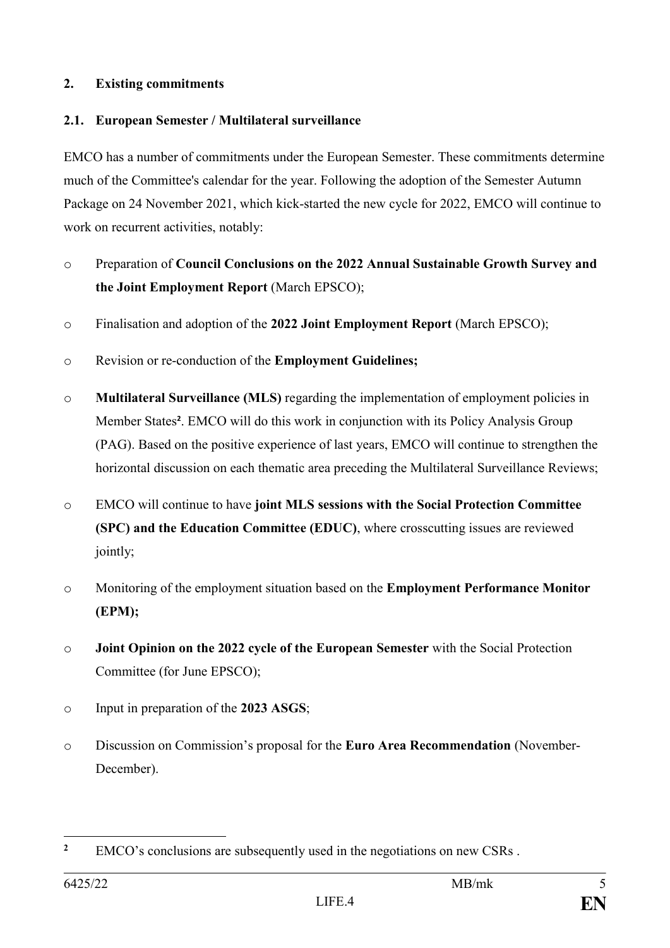# **2. Existing commitments**

# **2.1. European Semester / Multilateral surveillance**

EMCO has a number of commitments under the European Semester. These commitments determine much of the Committee's calendar for the year. Following the adoption of the Semester Autumn Package on 24 November 2021, which kick-started the new cycle for 2022, EMCO will continue to work on recurrent activities, notably:

- o Preparation of **Council Conclusions on the 2022 Annual Sustainable Growth Survey and the Joint Employment Report** (March EPSCO);
- o Finalisation and adoption of the **2022 Joint Employment Report** (March EPSCO);
- o Revision or re-conduction of the **Employment Guidelines;**
- o **Multilateral Surveillance (MLS)** regarding the implementation of employment policies in Member States**<sup>2</sup>** . EMCO will do this work in conjunction with its Policy Analysis Group (PAG). Based on the positive experience of last years, EMCO will continue to strengthen the horizontal discussion on each thematic area preceding the Multilateral Surveillance Reviews;
- o EMCO will continue to have **joint MLS sessions with the Social Protection Committee (SPC) and the Education Committee (EDUC)**, where crosscutting issues are reviewed jointly;
- o Monitoring of the employment situation based on the **Employment Performance Monitor (EPM);**
- o **Joint Opinion on the 2022 cycle of the European Semester** with the Social Protection Committee (for June EPSCO);
- o Input in preparation of the **2023 ASGS**;
- o Discussion on Commission's proposal for the **Euro Area Recommendation** (November-December).

<sup>1</sup> **<sup>2</sup>** EMCO's conclusions are subsequently used in the negotiations on new CSRs .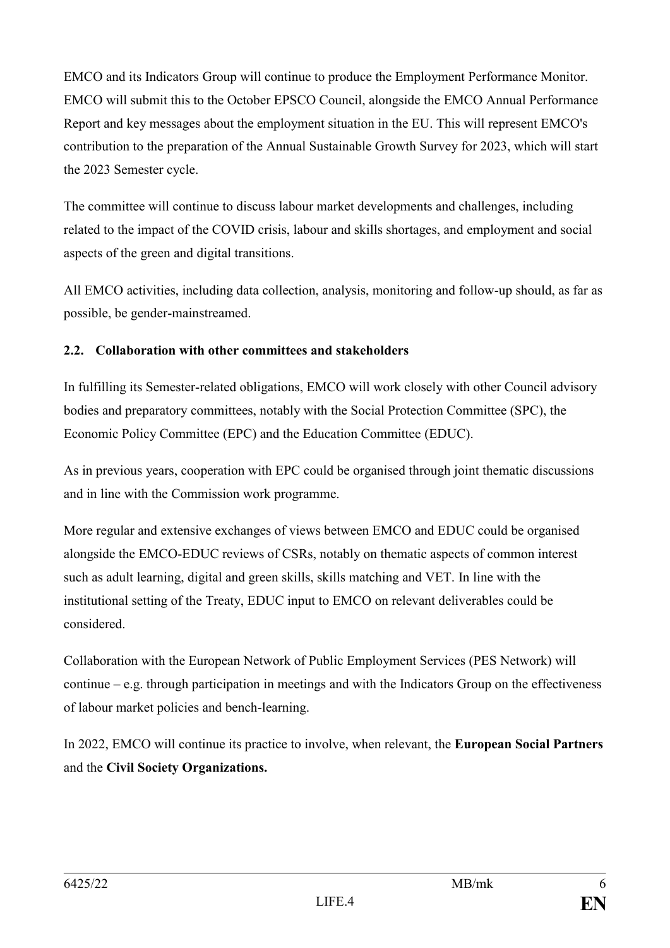EMCO and its Indicators Group will continue to produce the Employment Performance Monitor. EMCO will submit this to the October EPSCO Council, alongside the EMCO Annual Performance Report and key messages about the employment situation in the EU. This will represent EMCO's contribution to the preparation of the Annual Sustainable Growth Survey for 2023, which will start the 2023 Semester cycle.

The committee will continue to discuss labour market developments and challenges, including related to the impact of the COVID crisis, labour and skills shortages, and employment and social aspects of the green and digital transitions.

All EMCO activities, including data collection, analysis, monitoring and follow-up should, as far as possible, be gender-mainstreamed.

# **2.2. Collaboration with other committees and stakeholders**

In fulfilling its Semester-related obligations, EMCO will work closely with other Council advisory bodies and preparatory committees, notably with the Social Protection Committee (SPC), the Economic Policy Committee (EPC) and the Education Committee (EDUC).

As in previous years, cooperation with EPC could be organised through joint thematic discussions and in line with the Commission work programme.

More regular and extensive exchanges of views between EMCO and EDUC could be organised alongside the EMCO-EDUC reviews of CSRs, notably on thematic aspects of common interest such as adult learning, digital and green skills, skills matching and VET. In line with the institutional setting of the Treaty, EDUC input to EMCO on relevant deliverables could be considered.

Collaboration with the European Network of Public Employment Services (PES Network) will continue – e.g. through participation in meetings and with the Indicators Group on the effectiveness of labour market policies and bench-learning.

In 2022, EMCO will continue its practice to involve, when relevant, the **European Social Partners**  and the **Civil Society Organizations.**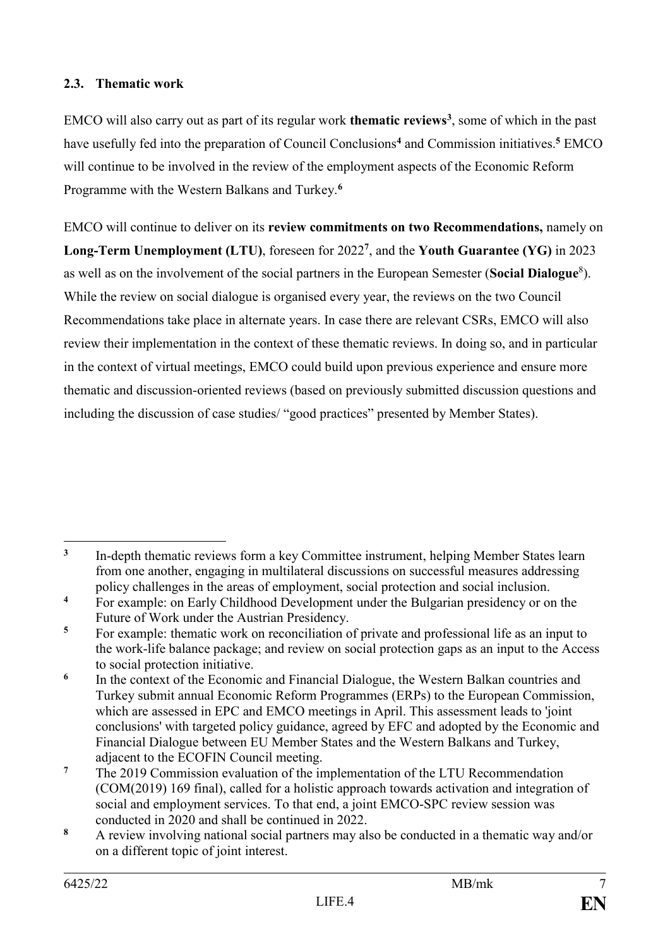# **2.3. Thematic work**

EMCO will also carry out as part of its regular work **thematic reviews<sup>3</sup>** , some of which in the past have usefully fed into the preparation of Council Conclusions**<sup>4</sup>** and Commission initiatives.**<sup>5</sup>** EMCO will continue to be involved in the review of the employment aspects of the Economic Reform Programme with the Western Balkans and Turkey.**<sup>6</sup>**

EMCO will continue to deliver on its **review commitments on two Recommendations,** namely on **Long-Term Unemployment (LTU)**, foreseen for 2022**<sup>7</sup>** , and the **Youth Guarantee (YG)** in 2023 as well as on the involvement of the social partners in the European Semester (**Social Dialogue**<sup>8</sup> ). While the review on social dialogue is organised every year, the reviews on the two Council Recommendations take place in alternate years. In case there are relevant CSRs, EMCO will also review their implementation in the context of these thematic reviews. In doing so, and in particular in the context of virtual meetings, EMCO could build upon previous experience and ensure more thematic and discussion-oriented reviews (based on previously submitted discussion questions and including the discussion of case studies/ "good practices" presented by Member States).

<sup>1</sup> **3** In-depth thematic reviews form a key Committee instrument, helping Member States learn from one another, engaging in multilateral discussions on successful measures addressing policy challenges in the areas of employment, social protection and social inclusion.

<sup>&</sup>lt;sup>4</sup> For example: on Early Childhood Development under the Bulgarian presidency or on the Future of Work under the Austrian Presidency.

**<sup>5</sup>** For example: thematic work on reconciliation of private and professional life as an input to the work-life balance package; and review on social protection gaps as an input to the Access to social protection initiative.

**<sup>6</sup>** In the context of the Economic and Financial Dialogue, the Western Balkan countries and Turkey submit annual Economic Reform Programmes (ERPs) to the European Commission, which are assessed in EPC and EMCO meetings in April. This assessment leads to 'joint conclusions' with targeted policy guidance, agreed by EFC and adopted by the Economic and Financial Dialogue between EU Member States and the Western Balkans and Turkey, adjacent to the ECOFIN Council meeting.

**<sup>7</sup>** The 2019 Commission evaluation of the implementation of the LTU Recommendation (COM(2019) 169 final), called for a holistic approach towards activation and integration of social and employment services. To that end, a joint EMCO-SPC review session was conducted in 2020 and shall be continued in 2022.

**<sup>8</sup>** A review involving national social partners may also be conducted in a thematic way and/or on a different topic of joint interest.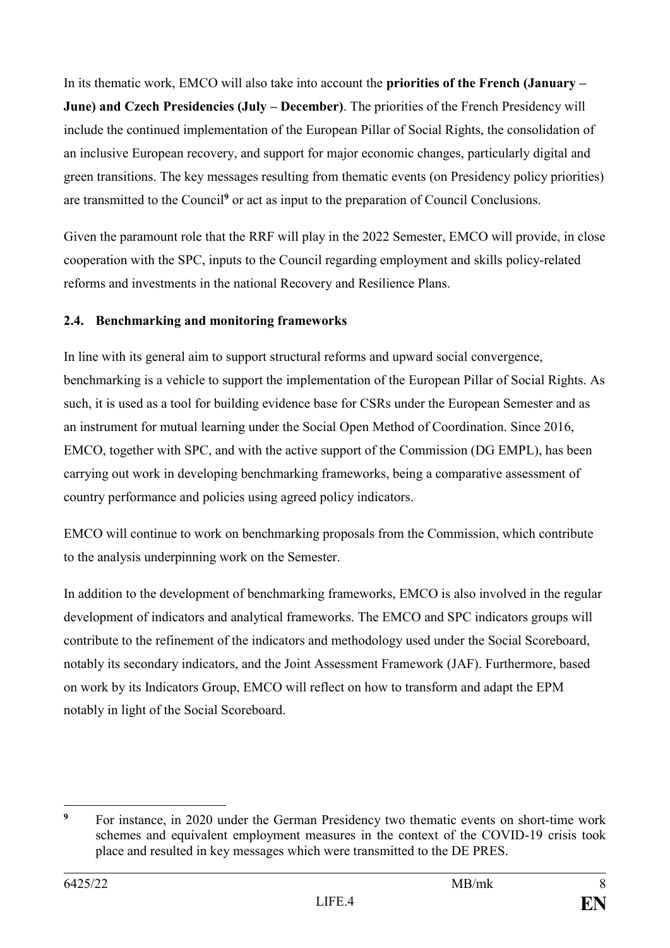In its thematic work, EMCO will also take into account the **priorities of the French (January – June) and Czech Presidencies (July – December). The priorities of the French Presidency will** include the continued implementation of the European Pillar of Social Rights, the consolidation of an inclusive European recovery, and support for major economic changes, particularly digital and green transitions. The key messages resulting from thematic events (on Presidency policy priorities) are transmitted to the Council**<sup>9</sup>** or act as input to the preparation of Council Conclusions.

Given the paramount role that the RRF will play in the 2022 Semester, EMCO will provide, in close cooperation with the SPC, inputs to the Council regarding employment and skills policy-related reforms and investments in the national Recovery and Resilience Plans.

# **2.4. Benchmarking and monitoring frameworks**

In line with its general aim to support structural reforms and upward social convergence, benchmarking is a vehicle to support the implementation of the European Pillar of Social Rights. As such, it is used as a tool for building evidence base for CSRs under the European Semester and as an instrument for mutual learning under the Social Open Method of Coordination. Since 2016, EMCO, together with SPC, and with the active support of the Commission (DG EMPL), has been carrying out work in developing benchmarking frameworks, being a comparative assessment of country performance and policies using agreed policy indicators.

EMCO will continue to work on benchmarking proposals from the Commission, which contribute to the analysis underpinning work on the Semester.

In addition to the development of benchmarking frameworks, EMCO is also involved in the regular development of indicators and analytical frameworks. The EMCO and SPC indicators groups will contribute to the refinement of the indicators and methodology used under the Social Scoreboard, notably its secondary indicators, and the Joint Assessment Framework (JAF). Furthermore, based on work by its Indicators Group, EMCO will reflect on how to transform and adapt the EPM notably in light of the Social Scoreboard.

<u>.</u>

**<sup>9</sup>** For instance, in 2020 under the German Presidency two thematic events on short-time work schemes and equivalent employment measures in the context of the COVID-19 crisis took place and resulted in key messages which were transmitted to the DE PRES.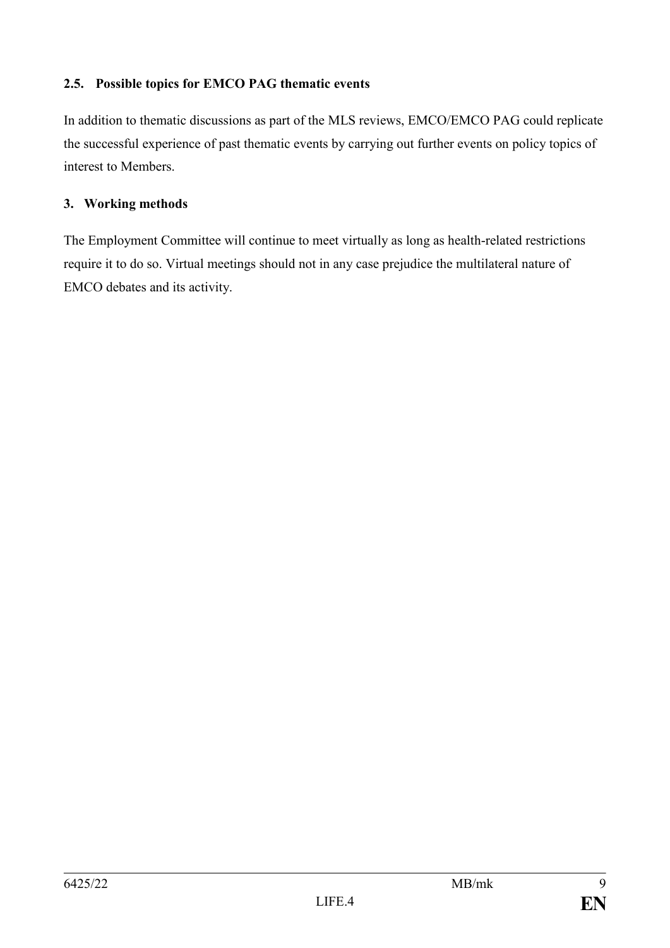# **2.5. Possible topics for EMCO PAG thematic events**

In addition to thematic discussions as part of the MLS reviews, EMCO/EMCO PAG could replicate the successful experience of past thematic events by carrying out further events on policy topics of interest to Members.

# **3. Working methods**

The Employment Committee will continue to meet virtually as long as health-related restrictions require it to do so. Virtual meetings should not in any case prejudice the multilateral nature of EMCO debates and its activity.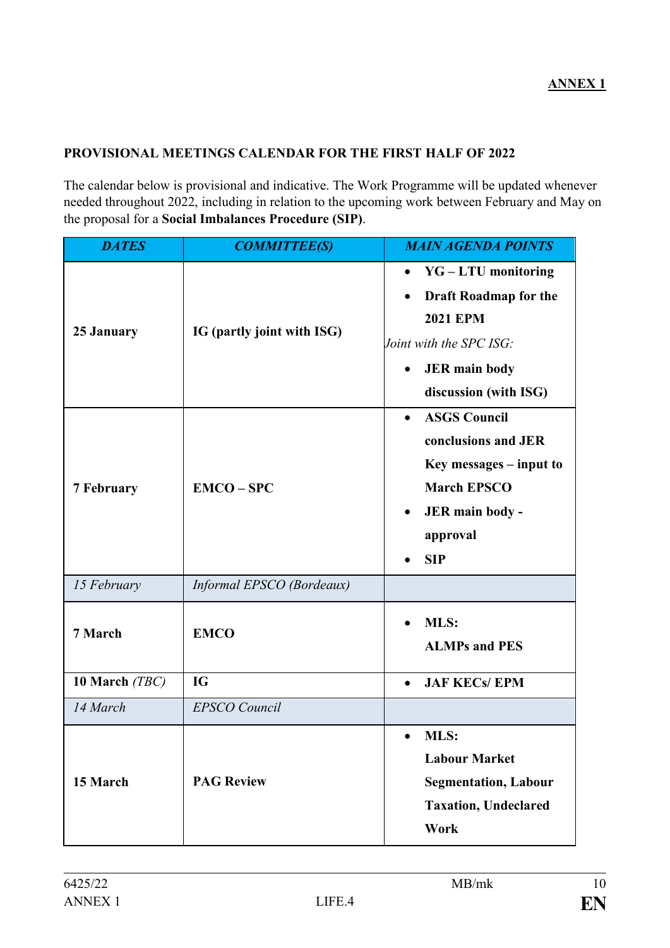# **ANNEX 1**

#### **PROVISIONAL MEETINGS CALENDAR FOR THE FIRST HALF OF 2022**

The calendar below is provisional and indicative. The Work Programme will be updated whenever needed throughout 2022, including in relation to the upcoming work between February and May on the proposal for a **Social Imbalances Procedure (SIP)**.

| <b>DATES</b>      | <b>COMMITTEE(S)</b>        | <b>MAIN AGENDA POINTS</b>                                                                                                                                            |
|-------------------|----------------------------|----------------------------------------------------------------------------------------------------------------------------------------------------------------------|
| 25 January        | IG (partly joint with ISG) | <b>YG-LTU</b> monitoring<br>$\bullet$<br><b>Draft Roadmap for the</b><br><b>2021 EPM</b><br>Joint with the SPC ISG:<br><b>JER</b> main body<br>discussion (with ISG) |
| <b>7 February</b> | $EMCO - SPC$               | <b>ASGS Council</b><br>conclusions and JER<br>$Key$ messages $-$ input to<br><b>March EPSCO</b><br>JER main body -<br>approval<br><b>SIP</b>                         |
| 15 February       | Informal EPSCO (Bordeaux)  |                                                                                                                                                                      |
| 7 March           | <b>EMCO</b>                | MLS:<br><b>ALMPs and PES</b>                                                                                                                                         |
| 10 March (TBC)    | <b>IG</b>                  | <b>JAF KECs/ EPM</b><br>$\bullet$                                                                                                                                    |
| 14 March          | <b>EPSCO</b> Council       |                                                                                                                                                                      |
| 15 March          | <b>PAG Review</b>          | <b>MLS:</b><br><b>Labour Market</b><br><b>Segmentation, Labour</b><br><b>Taxation, Undeclared</b><br>Work                                                            |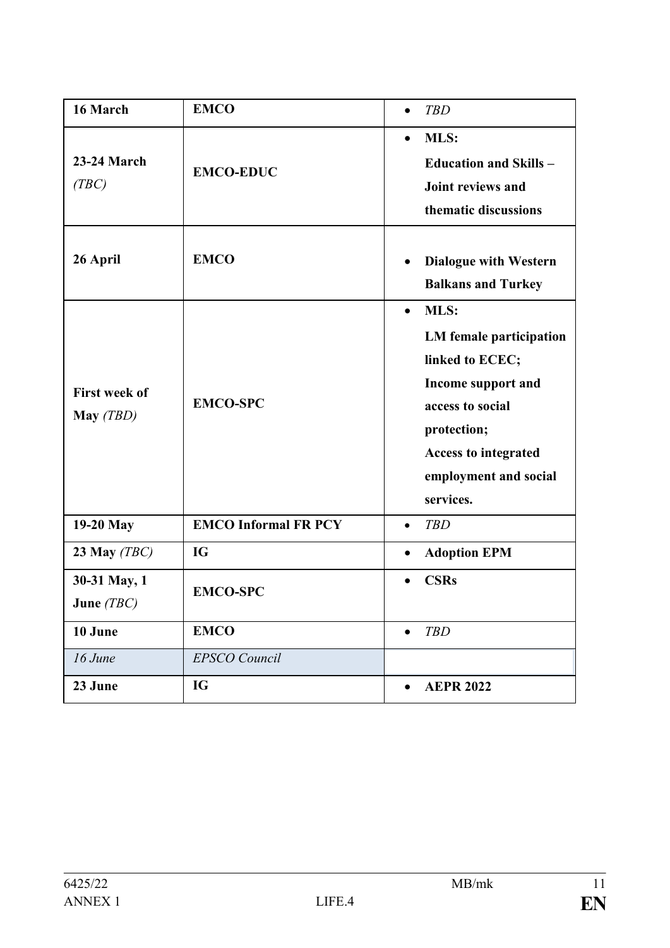| 16 March                          | <b>EMCO</b>                 | <b>TBD</b><br>$\bullet$                                                                                                                                                                       |
|-----------------------------------|-----------------------------|-----------------------------------------------------------------------------------------------------------------------------------------------------------------------------------------------|
| <b>23-24 March</b><br>(TBC)       | <b>EMCO-EDUC</b>            | MLS:<br>$\bullet$<br><b>Education and Skills -</b><br>Joint reviews and<br>thematic discussions                                                                                               |
| 26 April                          | <b>EMCO</b>                 | <b>Dialogue with Western</b><br>$\bullet$<br><b>Balkans and Turkey</b>                                                                                                                        |
| <b>First week of</b><br>May (TBD) | <b>EMCO-SPC</b>             | MLS:<br>$\bullet$<br>LM female participation<br>linked to ECEC;<br>Income support and<br>access to social<br>protection;<br><b>Access to integrated</b><br>employment and social<br>services. |
| 19-20 May                         | <b>EMCO Informal FR PCY</b> | <b>TBD</b><br>$\bullet$                                                                                                                                                                       |
| 23 May $(TBC)$                    | <b>IG</b>                   | <b>Adoption EPM</b><br>$\bullet$                                                                                                                                                              |
| 30-31 May, 1<br>June $(TBC)$      | <b>EMCO-SPC</b>             | <b>CSRs</b>                                                                                                                                                                                   |
| 10 June                           | <b>EMCO</b>                 | <b>TBD</b><br>$\bullet$                                                                                                                                                                       |
| 16 June                           | <b>EPSCO</b> Council        |                                                                                                                                                                                               |
| 23 June                           | IG                          | <b>AEPR 2022</b><br>$\bullet$                                                                                                                                                                 |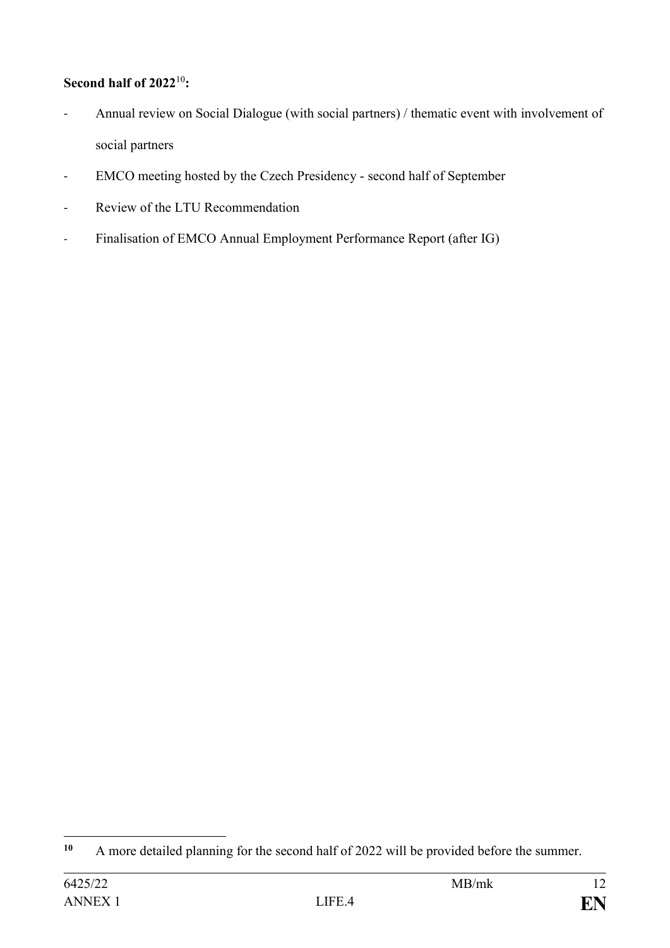# **Second half of 2022**<sup>10</sup>**:**

- Annual review on Social Dialogue (with social partners) / thematic event with involvement of social partners
- EMCO meeting hosted by the Czech Presidency second half of September
- Review of the LTU Recommendation
- Finalisation of EMCO Annual Employment Performance Report (after IG)

 $10$ **<sup>10</sup>** A more detailed planning for the second half of 2022 will be provided before the summer.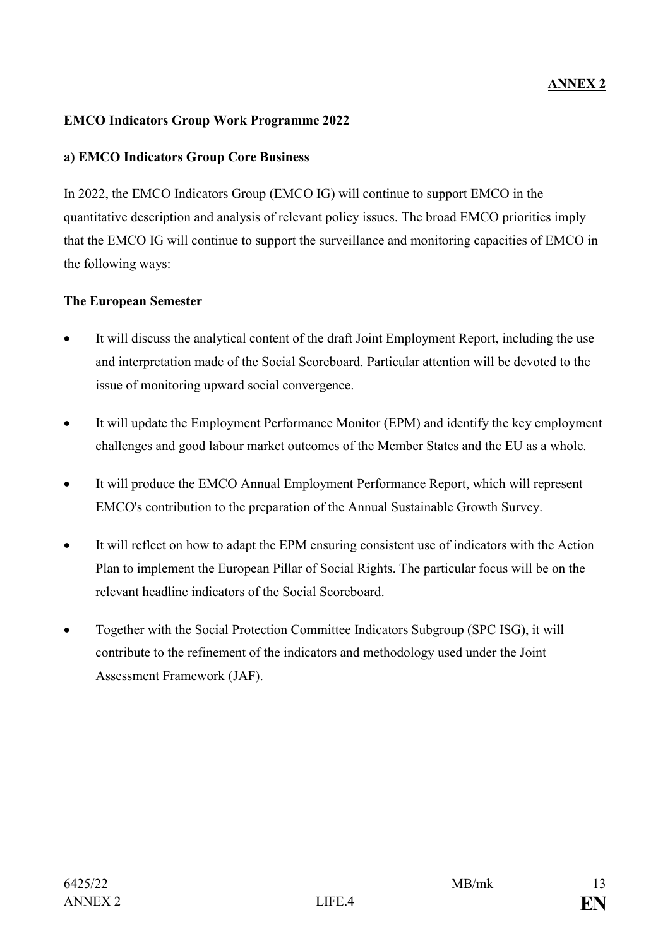#### **EMCO Indicators Group Work Programme 2022**

### **a) EMCO Indicators Group Core Business**

In 2022, the EMCO Indicators Group (EMCO IG) will continue to support EMCO in the quantitative description and analysis of relevant policy issues. The broad EMCO priorities imply that the EMCO IG will continue to support the surveillance and monitoring capacities of EMCO in the following ways:

# **The European Semester**

- It will discuss the analytical content of the draft Joint Employment Report, including the use and interpretation made of the Social Scoreboard. Particular attention will be devoted to the issue of monitoring upward social convergence.
- It will update the Employment Performance Monitor (EPM) and identify the key employment challenges and good labour market outcomes of the Member States and the EU as a whole.
- It will produce the EMCO Annual Employment Performance Report, which will represent EMCO's contribution to the preparation of the Annual Sustainable Growth Survey.
- It will reflect on how to adapt the EPM ensuring consistent use of indicators with the Action Plan to implement the European Pillar of Social Rights. The particular focus will be on the relevant headline indicators of the Social Scoreboard.
- Together with the Social Protection Committee Indicators Subgroup (SPC ISG), it will contribute to the refinement of the indicators and methodology used under the Joint Assessment Framework (JAF).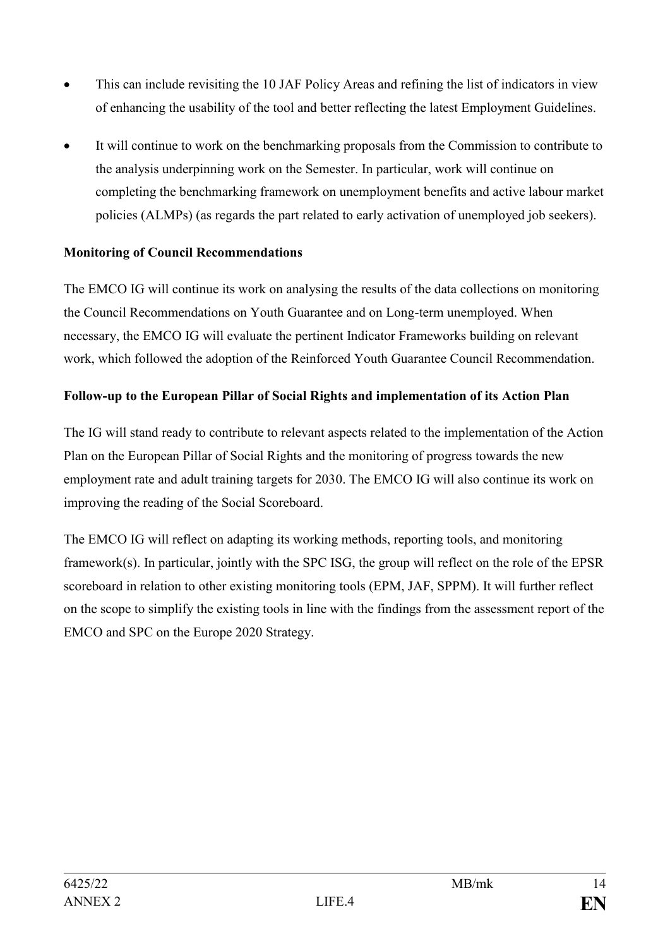- This can include revisiting the 10 JAF Policy Areas and refining the list of indicators in view of enhancing the usability of the tool and better reflecting the latest Employment Guidelines.
- It will continue to work on the benchmarking proposals from the Commission to contribute to the analysis underpinning work on the Semester. In particular, work will continue on completing the benchmarking framework on unemployment benefits and active labour market policies (ALMPs) (as regards the part related to early activation of unemployed job seekers).

#### **Monitoring of Council Recommendations**

The EMCO IG will continue its work on analysing the results of the data collections on monitoring the Council Recommendations on Youth Guarantee and on Long-term unemployed. When necessary, the EMCO IG will evaluate the pertinent Indicator Frameworks building on relevant work, which followed the adoption of the Reinforced Youth Guarantee Council Recommendation.

#### **Follow-up to the European Pillar of Social Rights and implementation of its Action Plan**

The IG will stand ready to contribute to relevant aspects related to the implementation of the Action Plan on the European Pillar of Social Rights and the monitoring of progress towards the new employment rate and adult training targets for 2030. The EMCO IG will also continue its work on improving the reading of the Social Scoreboard.

The EMCO IG will reflect on adapting its working methods, reporting tools, and monitoring framework(s). In particular, jointly with the SPC ISG, the group will reflect on the role of the EPSR scoreboard in relation to other existing monitoring tools (EPM, JAF, SPPM). It will further reflect on the scope to simplify the existing tools in line with the findings from the assessment report of the EMCO and SPC on the Europe 2020 Strategy.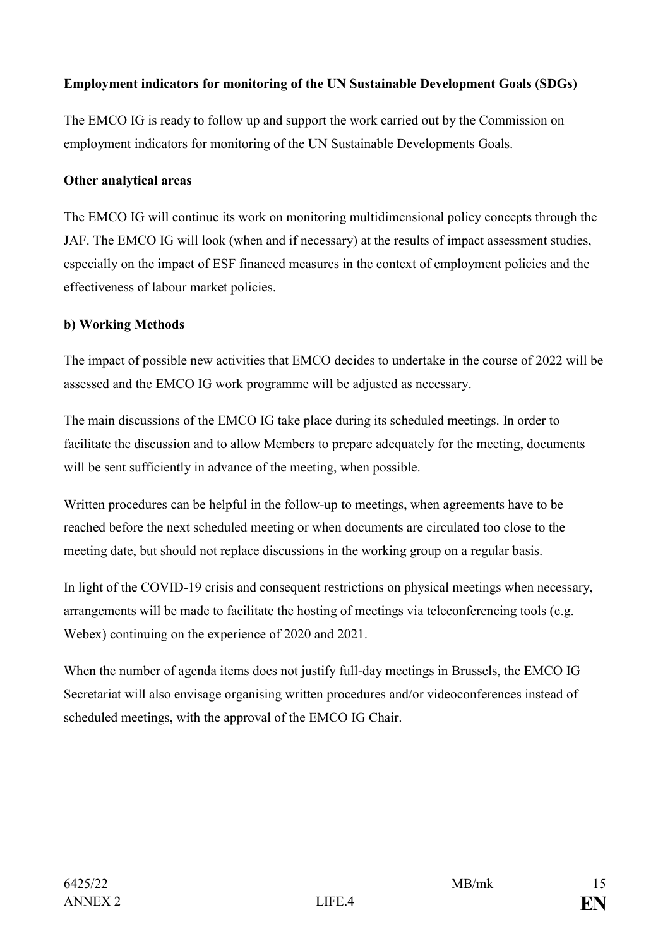# **Employment indicators for monitoring of the UN Sustainable Development Goals (SDGs)**

The EMCO IG is ready to follow up and support the work carried out by the Commission on employment indicators for monitoring of the UN Sustainable Developments Goals.

#### **Other analytical areas**

The EMCO IG will continue its work on monitoring multidimensional policy concepts through the JAF. The EMCO IG will look (when and if necessary) at the results of impact assessment studies, especially on the impact of ESF financed measures in the context of employment policies and the effectiveness of labour market policies.

#### **b) Working Methods**

The impact of possible new activities that EMCO decides to undertake in the course of 2022 will be assessed and the EMCO IG work programme will be adjusted as necessary.

The main discussions of the EMCO IG take place during its scheduled meetings. In order to facilitate the discussion and to allow Members to prepare adequately for the meeting, documents will be sent sufficiently in advance of the meeting, when possible.

Written procedures can be helpful in the follow-up to meetings, when agreements have to be reached before the next scheduled meeting or when documents are circulated too close to the meeting date, but should not replace discussions in the working group on a regular basis.

In light of the COVID-19 crisis and consequent restrictions on physical meetings when necessary, arrangements will be made to facilitate the hosting of meetings via teleconferencing tools (e.g. Webex) continuing on the experience of 2020 and 2021.

When the number of agenda items does not justify full-day meetings in Brussels, the EMCO IG Secretariat will also envisage organising written procedures and/or videoconferences instead of scheduled meetings, with the approval of the EMCO IG Chair.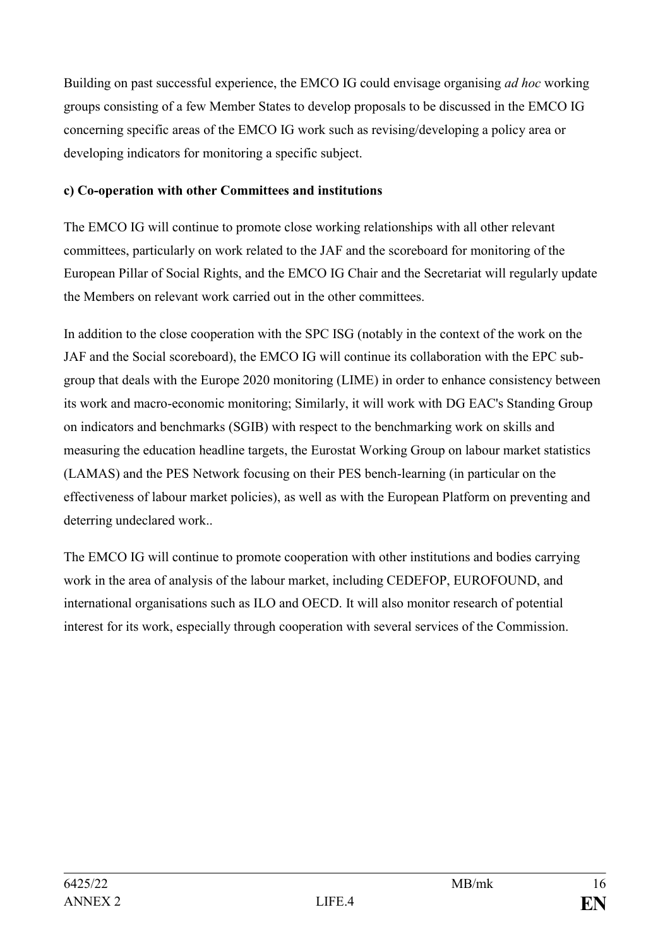Building on past successful experience, the EMCO IG could envisage organising *ad hoc* working groups consisting of a few Member States to develop proposals to be discussed in the EMCO IG concerning specific areas of the EMCO IG work such as revising/developing a policy area or developing indicators for monitoring a specific subject.

# **c) Co-operation with other Committees and institutions**

The EMCO IG will continue to promote close working relationships with all other relevant committees, particularly on work related to the JAF and the scoreboard for monitoring of the European Pillar of Social Rights, and the EMCO IG Chair and the Secretariat will regularly update the Members on relevant work carried out in the other committees.

In addition to the close cooperation with the SPC ISG (notably in the context of the work on the JAF and the Social scoreboard), the EMCO IG will continue its collaboration with the EPC subgroup that deals with the Europe 2020 monitoring (LIME) in order to enhance consistency between its work and macro-economic monitoring; Similarly, it will work with DG EAC's Standing Group on indicators and benchmarks (SGIB) with respect to the benchmarking work on skills and measuring the education headline targets, the Eurostat Working Group on labour market statistics (LAMAS) and the PES Network focusing on their PES bench-learning (in particular on the effectiveness of labour market policies), as well as with the European Platform on preventing and deterring undeclared work..

The EMCO IG will continue to promote cooperation with other institutions and bodies carrying work in the area of analysis of the labour market, including CEDEFOP, EUROFOUND, and international organisations such as ILO and OECD. It will also monitor research of potential interest for its work, especially through cooperation with several services of the Commission.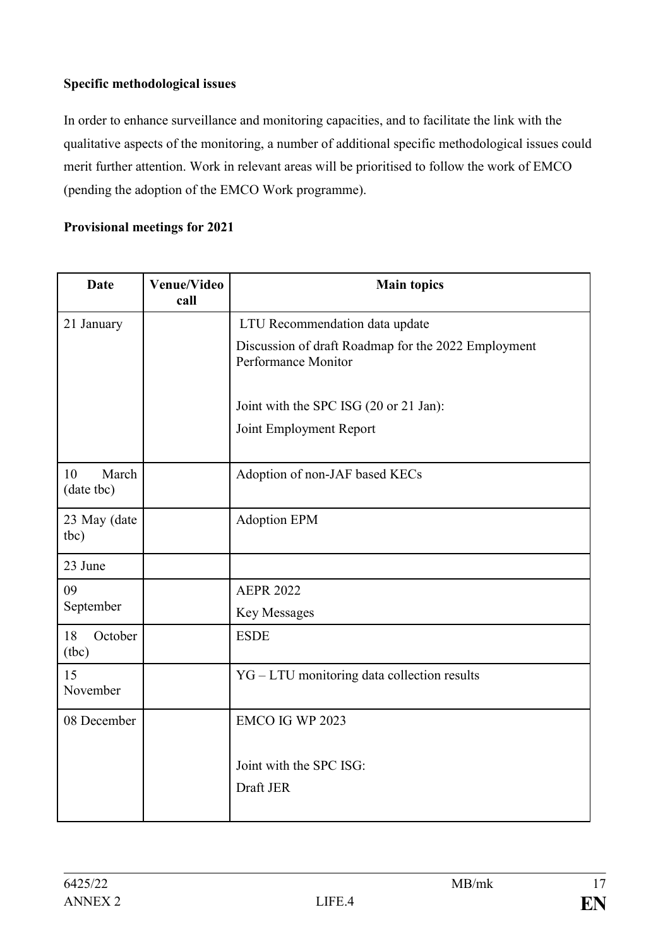# **Specific methodological issues**

In order to enhance surveillance and monitoring capacities, and to facilitate the link with the qualitative aspects of the monitoring, a number of additional specific methodological issues could merit further attention. Work in relevant areas will be prioritised to follow the work of EMCO (pending the adoption of the EMCO Work programme).

# **Provisional meetings for 2021**

| <b>Date</b>               | <b>Venue/Video</b><br>call | <b>Main topics</b>                                                         |
|---------------------------|----------------------------|----------------------------------------------------------------------------|
| 21 January                |                            | LTU Recommendation data update                                             |
|                           |                            | Discussion of draft Roadmap for the 2022 Employment<br>Performance Monitor |
|                           |                            | Joint with the SPC ISG (20 or 21 Jan):                                     |
|                           |                            | Joint Employment Report                                                    |
| March<br>10<br>(date tbc) |                            | Adoption of non-JAF based KECs                                             |
| 23 May (date<br>tbc)      |                            | <b>Adoption EPM</b>                                                        |
| 23 June                   |                            |                                                                            |
| 09                        |                            | <b>AEPR 2022</b>                                                           |
| September                 |                            | Key Messages                                                               |
| 18<br>October<br>(tbc)    |                            | <b>ESDE</b>                                                                |
| 15<br>November            |                            | YG-LTU monitoring data collection results                                  |
| 08 December               |                            | EMCO IG WP 2023                                                            |
|                           |                            | Joint with the SPC ISG:                                                    |
|                           |                            | Draft JER                                                                  |